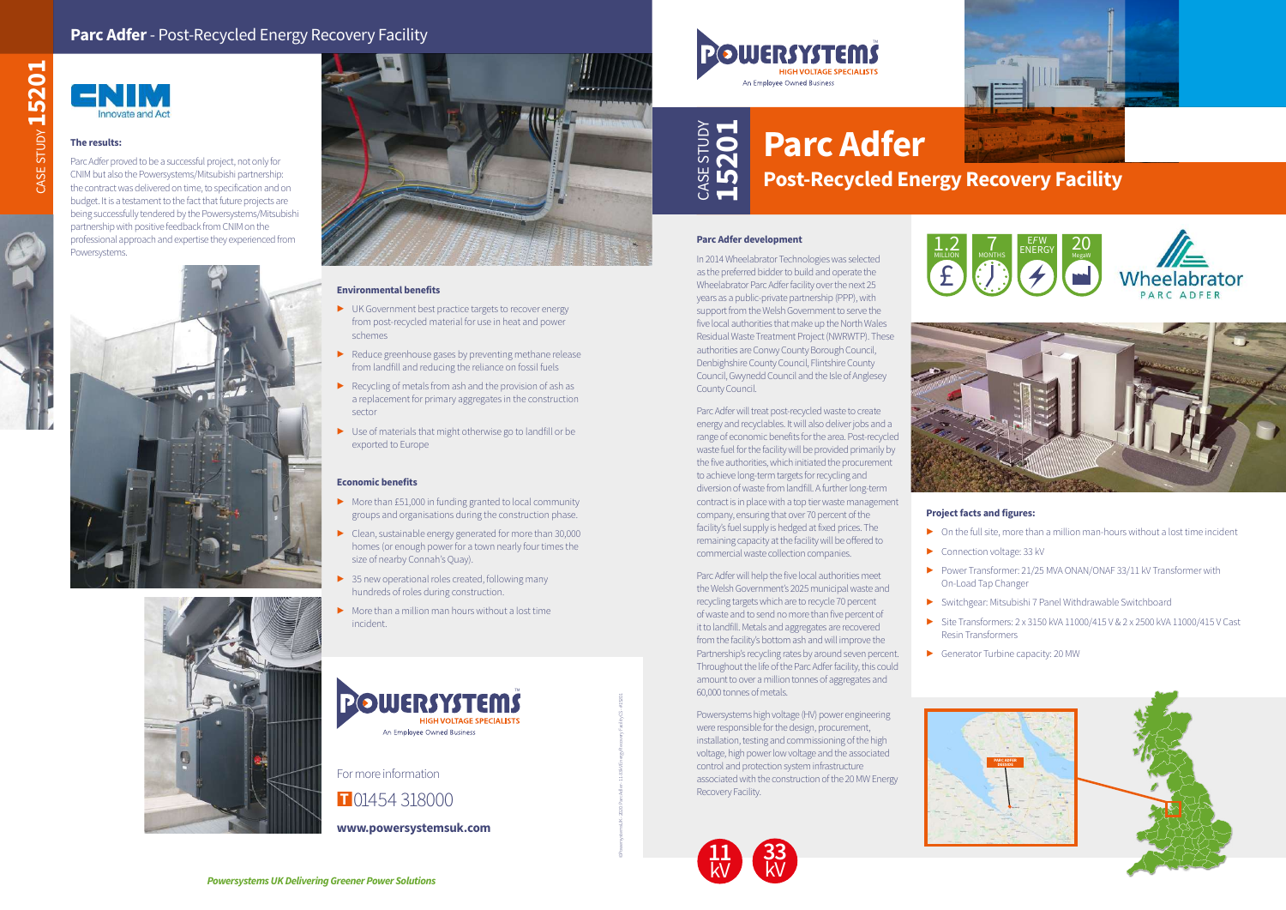

## **Project facts and figures:**

- $\triangleright$  On the full site, more than a million man-hours without a lost time incident
- ▶ Connection voltage: 33 kV
- ▶ Switchgear: Mitsubishi 7 Panel Withdrawable Switchboard
- ▶ Site Transformers: 2 x 3150 kVA 11000/415 V & 2 x 2500 kVA 11000/415 V Cast Resin Transformers
- ▶ Generator Turbine capacity: 20 MW
- 
- 
- ▶ Power Transformer: 21/25 MVA ONAN/ONAF 33/11 kV Transformer with On-Load Tap Changer
	-
	-



## **Parc Adfer development**

In 2014 Wheelabrator Technologies was selected as the preferred bidder to build and operate the Wheelabrator Parc Adfer facility over the next 25 years as a public-private partnership (PPP), with support from the Welsh Government to serve the five local authorities that make up the North Wales Residual Waste Treatment Project (NWRWTP). These authorities are Conwy County Borough Council, Denbighshire County Council, Flintshire County Council, Gwynedd Council and the Isle of Anglesey County Council.

Parc Adfer will treat post-recycled waste to create energy and recyclables. It will also deliver jobs and a range of economic benefits for the area. Post-recycled waste fuel for the facility will be provided primarily by the five authorities, which initiated the procurement to achieve long-term targets for recycling and diversion of waste from landfill. A further long-term contract is in place with a top tier waste management company, ensuring that over 70 percent of the facility's fuel supply is hedged at fixed prices. The remaining capacity at the facility will be offered to commercial waste collection companies.

Parc Adfer will help the five local authorities meet the Welsh Government's 2025 municipal waste and recycling targets which are to recycle 70 percent of waste and to send no more than five percent of it to landfill. Metals and aggregates are recovered from the facility's bottom ash and will improve the Partnership's recycling rates by around seven percent. Throughout the life of the Parc Adfer facility, this could amount to over a million tonnes of aggregates and 60,000 tonnes of metals.

- ▶ More than £51,000 in funding granted to local community groups and organisations during the construction phase.
- ▶ Clean, sustainable energy generated for more than 30,000 homes (or enough power for a town nearly four times the size of nearby Connah's Quay).
- ▶ 35 new operational roles created, following many hundreds of roles during construction.
- $\blacktriangleright$  More than a million man hours without a lost time incident.

Powersystems high voltage (HV) power engineering were responsible for the design, procurement, installation, testing and commissioning of the high voltage, high power low voltage and the associated control and protection system infrastructure associated with the construction of the 20 MW Energy Recovery Facility.

## **Parc Adfer Post-Recycled Energy Recovery Facility 15201**

CASE STUDY















## **Parc Adfer** - Post-Recycled Energy Recovery Facility

## **The results:**

Parc Adfer proved to be a successful project, not only for CNIM but also the Powersystems/Mitsubishi partnership: the contract was delivered on time, to specification and on budget. It is a testament to the fact that future projects are being successfully tendered by the Powersystems/Mitsubishi partnership with positive feedback from CNIM on the professional approach and expertise they experienced from Powersystems.







## **Environmental benefits**

- ▶ UK Government best practice targets to recover energy from post-recycled material for use in heat and power schemes
- ▶ Reduce greenhouse gases by preventing methane release from landfill and reducing the reliance on fossil fuels
- $\triangleright$  Recycling of metals from ash and the provision of ash as a replacement for primary aggregates in the construction sector
- ▶ Use of materials that might otherwise go to landfill or be exported to Europe

## **Economic benefits**



©PowersystemsUK - 2020: Parc Adler - 11-33kV Energy Recovery Facility CS - #15201

For more information

n**<sup>T</sup>** 01454 318000

**www.powersystemsuk.com**